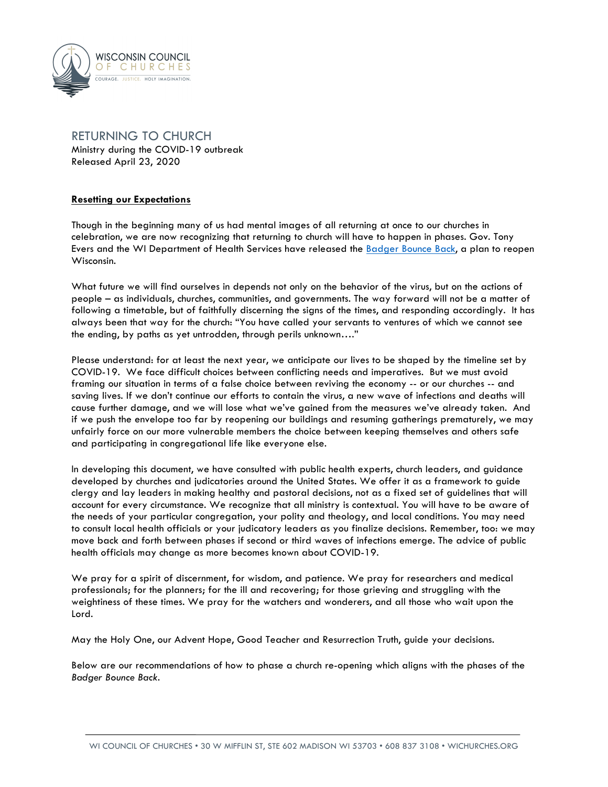

# RETURNING TO CHURCH Ministry during the COVID-19 outbreak Released April 23, 2020

# **Resetting our Expectations**

Though in the beginning many of us had mental images of all returning at once to our churches in celebration, we are now recognizing that returning to church will have to happen in phases. Gov. Tony Evers and the WI Department of Health Services have released the Badger Bounce Back, a plan to reopen Wisconsin.

What future we will find ourselves in depends not only on the behavior of the virus, but on the actions of people – as individuals, churches, communities, and governments. The way forward will not be a matter of following a timetable, but of faithfully discerning the signs of the times, and responding accordingly. It has always been that way for the church: "You have called your servants to ventures of which we cannot see the ending, by paths as yet untrodden, through perils unknown…."

Please understand: for at least the next year, we anticipate our lives to be shaped by the timeline set by COVID-19. We face difficult choices between conflicting needs and imperatives. But we must avoid framing our situation in terms of a false choice between reviving the economy -- or our churches -- and saving lives. If we don't continue our efforts to contain the virus, a new wave of infections and deaths will cause further damage, and we will lose what we've gained from the measures we've already taken. And if we push the envelope too far by reopening our buildings and resuming gatherings prematurely, we may unfairly force on our more vulnerable members the choice between keeping themselves and others safe and participating in congregational life like everyone else.

In developing this document, we have consulted with public health experts, church leaders, and guidance developed by churches and judicatories around the United States. We offer it as a framework to guide clergy and lay leaders in making healthy and pastoral decisions, not as a fixed set of guidelines that will account for every circumstance. We recognize that all ministry is contextual. You will have to be aware of the needs of your particular congregation, your polity and theology, and local conditions. You may need to consult local health officials or your judicatory leaders as you finalize decisions. Remember, too: we may move back and forth between phases if second or third waves of infections emerge. The advice of public health officials may change as more becomes known about COVID-19.

We pray for a spirit of discernment, for wisdom, and patience. We pray for researchers and medical professionals; for the planners; for the ill and recovering; for those grieving and struggling with the weightiness of these times. We pray for the watchers and wonderers, and all those who wait upon the Lord.

May the Holy One, our Advent Hope, Good Teacher and Resurrection Truth, guide your decisions.

Below are our recommendations of how to phase a church re-opening which aligns with the phases of the *Badger Bounce Back*.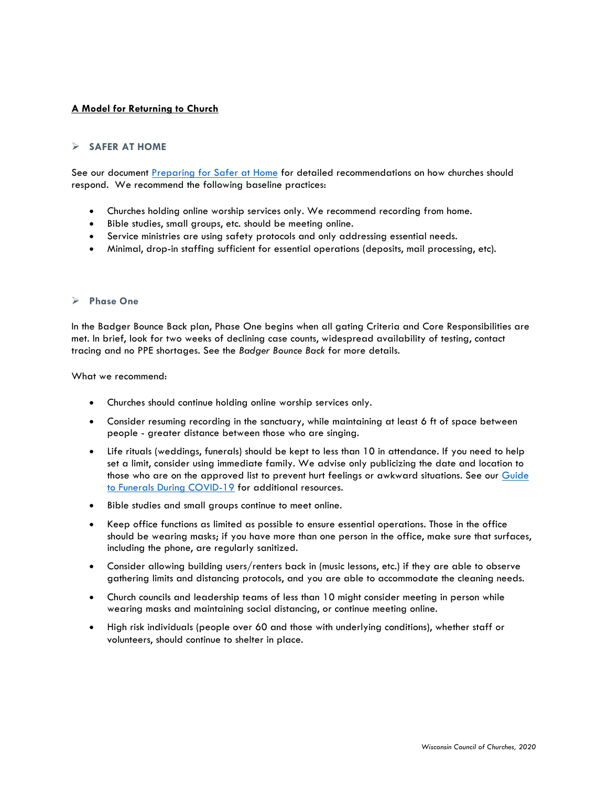# **A Model for Returning to Church**

# **SAFER AT HOME**

See our document Preparing for Safer at Home for detailed recommendations on how churches should respond. We recommend the following baseline practices:

- Churches holding online worship services only. We recommend recording from home.
- Bible studies, small groups, etc. should be meeting online.
- Service ministries are using safety protocols and only addressing essential needs.
- Minimal, drop-in staffing sufficient for essential operations (deposits, mail processing, etc).

#### Ø **Phase One**

In the Badger Bounce Back plan, Phase One begins when all gating Criteria and Core Responsibilities are met. In brief, look for two weeks of declining case counts, widespread availability of testing, contact tracing and no PPE shortages. See the *Badger Bounce Back* for more details.

What we recommend:

- Churches should continue holding online worship services only.
- Consider resuming recording in the sanctuary, while maintaining at least 6 ft of space between people - greater distance between those who are singing.
- Life rituals (weddings, funerals) should be kept to less than 10 in attendance. If you need to help set a limit, consider using immediate family. We advise only publicizing the date and location to those who are on the approved list to prevent hurt feelings or awkward situations. See our Guide to Funerals During COVID-19 for additional resources.
- Bible studies and small groups continue to meet online.
- Keep office functions as limited as possible to ensure essential operations. Those in the office should be wearing masks; if you have more than one person in the office, make sure that surfaces, including the phone, are regularly sanitized.
- Consider allowing building users/renters back in (music lessons, etc.) if they are able to observe gathering limits and distancing protocols, and you are able to accommodate the cleaning needs.
- Church councils and leadership teams of less than 10 might consider meeting in person while wearing masks and maintaining social distancing, or continue meeting online.
- High risk individuals (people over 60 and those with underlying conditions), whether staff or volunteers, should continue to shelter in place.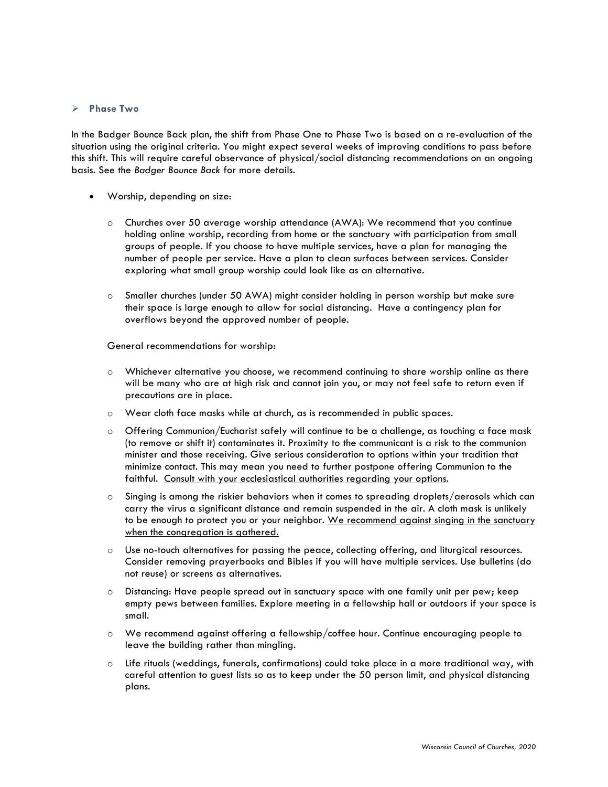#### Ø **Phase Two**

In the Badger Bounce Back plan, the shift from Phase One to Phase Two is based on a re-evaluation of the situation using the original criteria. You might expect several weeks of improving conditions to pass before this shift. This will require careful observance of physical/social distancing recommendations on an ongoing basis. See the *Badger Bounce Back* for more details.

- Worship, depending on size:
	- o Churches over 50 average worship attendance (AWA): We recommend that you continue holding online worship, recording from home or the sanctuary with participation from small groups of people. If you choose to have multiple services, have a plan for managing the number of people per service. Have a plan to clean surfaces between services. Consider exploring what small group worship could look like as an alternative.
	- o Smaller churches (under 50 AWA) might consider holding in person worship but make sure their space is large enough to allow for social distancing. Have a contingency plan for overflows beyond the approved number of people.

General recommendations for worship:

- o Whichever alternative you choose, we recommend continuing to share worship online as there will be many who are at high risk and cannot join you, or may not feel safe to return even if precautions are in place.
- o Wear cloth face masks while at church, as is recommended in public spaces.
- o Offering Communion/Eucharist safely will continue to be a challenge, as touching a face mask (to remove or shift it) contaminates it. Proximity to the communicant is a risk to the communion minister and those receiving. Give serious consideration to options within your tradition that minimize contact. This may mean you need to further postpone offering Communion to the faithful. Consult with your ecclesiastical authorities regarding your options.
- o Singing is among the riskier behaviors when it comes to spreading droplets/aerosols which can carry the virus a significant distance and remain suspended in the air. A cloth mask is unlikely to be enough to protect you or your neighbor. We recommend against singing in the sanctuary when the congregation is gathered.
- o Use no-touch alternatives for passing the peace, collecting offering, and liturgical resources. Consider removing prayerbooks and Bibles if you will have multiple services. Use bulletins (do not reuse) or screens as alternatives.
- o Distancing: Have people spread out in sanctuary space with one family unit per pew; keep empty pews between families. Explore meeting in a fellowship hall or outdoors if your space is small.
- o We recommend against offering a fellowship/coffee hour. Continue encouraging people to leave the building rather than mingling.
- o Life rituals (weddings, funerals, confirmations) could take place in a more traditional way, with careful attention to guest lists so as to keep under the 50 person limit, and physical distancing plans.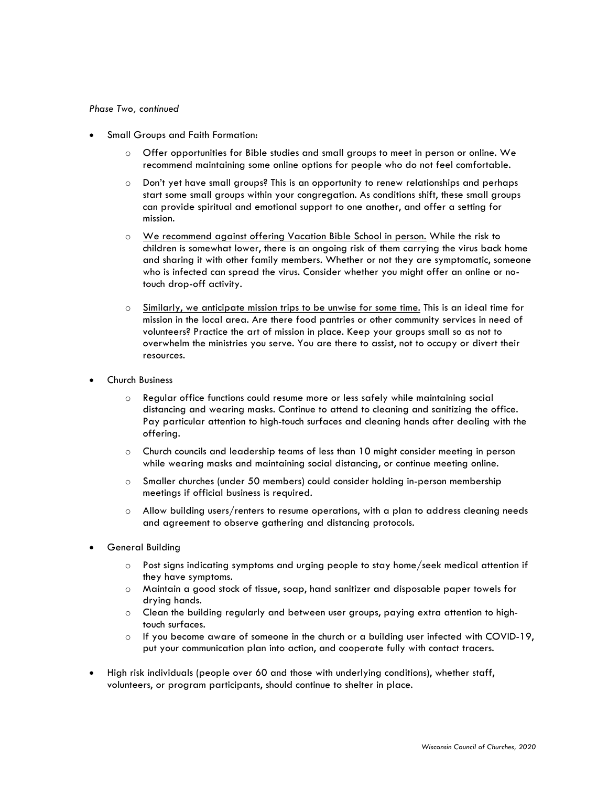#### *Phase Two, continued*

- Small Groups and Faith Formation:
	- o Offer opportunities for Bible studies and small groups to meet in person or online. We recommend maintaining some online options for people who do not feel comfortable.
	- o Don't yet have small groups? This is an opportunity to renew relationships and perhaps start some small groups within your congregation. As conditions shift, these small groups can provide spiritual and emotional support to one another, and offer a setting for mission.
	- o We recommend against offering Vacation Bible School in person. While the risk to children is somewhat lower, there is an ongoing risk of them carrying the virus back home and sharing it with other family members. Whether or not they are symptomatic, someone who is infected can spread the virus. Consider whether you might offer an online or notouch drop-off activity.
	- o Similarly, we anticipate mission trips to be unwise for some time. This is an ideal time for mission in the local area. Are there food pantries or other community services in need of volunteers? Practice the art of mission in place. Keep your groups small so as not to overwhelm the ministries you serve. You are there to assist, not to occupy or divert their resources.
- Church Business
	- o Regular office functions could resume more or less safely while maintaining social distancing and wearing masks. Continue to attend to cleaning and sanitizing the office. Pay particular attention to high-touch surfaces and cleaning hands after dealing with the offering.
	- o Church councils and leadership teams of less than 10 might consider meeting in person while wearing masks and maintaining social distancing, or continue meeting online.
	- o Smaller churches (under 50 members) could consider holding in-person membership meetings if official business is required.
	- $\circ$  Allow building users/renters to resume operations, with a plan to address cleaning needs and agreement to observe gathering and distancing protocols.
- General Building
	- o Post signs indicating symptoms and urging people to stay home/seek medical attention if they have symptoms.
	- o Maintain a good stock of tissue, soap, hand sanitizer and disposable paper towels for drying hands.
	- o Clean the building regularly and between user groups, paying extra attention to hightouch surfaces.
	- $\circ$  If you become aware of someone in the church or a building user infected with COVID-19, put your communication plan into action, and cooperate fully with contact tracers.
- High risk individuals (people over 60 and those with underlying conditions), whether staff, volunteers, or program participants, should continue to shelter in place.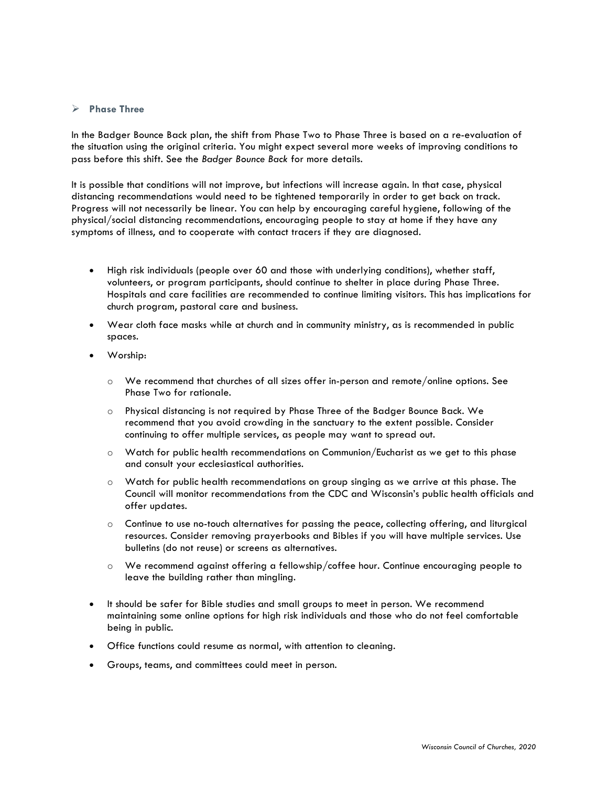# Ø **Phase Three**

In the Badger Bounce Back plan, the shift from Phase Two to Phase Three is based on a re-evaluation of the situation using the original criteria. You might expect several more weeks of improving conditions to pass before this shift. See the *Badger Bounce Back* for more details.

It is possible that conditions will not improve, but infections will increase again. In that case, physical distancing recommendations would need to be tightened temporarily in order to get back on track. Progress will not necessarily be linear. You can help by encouraging careful hygiene, following of the physical/social distancing recommendations, encouraging people to stay at home if they have any symptoms of illness, and to cooperate with contact tracers if they are diagnosed.

- High risk individuals (people over 60 and those with underlying conditions), whether staff, volunteers, or program participants, should continue to shelter in place during Phase Three. Hospitals and care facilities are recommended to continue limiting visitors. This has implications for church program, pastoral care and business.
- Wear cloth face masks while at church and in community ministry, as is recommended in public spaces.
- Worship:
	- o We recommend that churches of all sizes offer in-person and remote/online options. See Phase Two for rationale.
	- o Physical distancing is not required by Phase Three of the Badger Bounce Back. We recommend that you avoid crowding in the sanctuary to the extent possible. Consider continuing to offer multiple services, as people may want to spread out.
	- o Watch for public health recommendations on Communion/Eucharist as we get to this phase and consult your ecclesiastical authorities.
	- o Watch for public health recommendations on group singing as we arrive at this phase. The Council will monitor recommendations from the CDC and Wisconsin's public health officials and offer updates.
	- o Continue to use no-touch alternatives for passing the peace, collecting offering, and liturgical resources. Consider removing prayerbooks and Bibles if you will have multiple services. Use bulletins (do not reuse) or screens as alternatives.
	- o We recommend against offering a fellowship/coffee hour. Continue encouraging people to leave the building rather than mingling.
- It should be safer for Bible studies and small groups to meet in person. We recommend maintaining some online options for high risk individuals and those who do not feel comfortable being in public.
- Office functions could resume as normal, with attention to cleaning.
- Groups, teams, and committees could meet in person.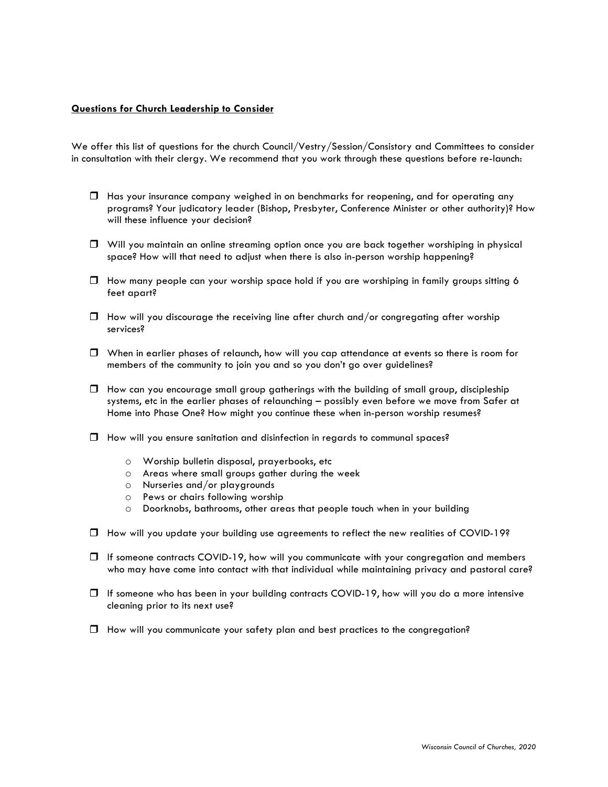### **Questions for Church Leadership to Consider**

We offer this list of questions for the church Council/Vestry/Session/Consistory and Committees to consider in consultation with their clergy. We recommend that you work through these questions before re-launch:

- $\Box$  Has your insurance company weighed in on benchmarks for reopening, and for operating any programs? Your judicatory leader (Bishop, Presbyter, Conference Minister or other authority)? How will these influence your decision?
- $\Box$  Will you maintain an online streaming option once you are back together worshiping in physical space? How will that need to adjust when there is also in-person worship happening?
- $\Box$  How many people can your worship space hold if you are worshiping in family groups sitting 6 feet apart?
- $\Box$  How will you discourage the receiving line after church and/or congregating after worship services?
- $\Box$  When in earlier phases of relaunch, how will you cap attendance at events so there is room for members of the community to join you and so you don't go over guidelines?
- $\Box$  How can you encourage small group gatherings with the building of small group, discipleship systems, etc in the earlier phases of relaunching – possibly even before we move from Safer at Home into Phase One? How might you continue these when in-person worship resumes?
- $\Box$  How will you ensure sanitation and disinfection in regards to communal spaces?
	- o Worship bulletin disposal, prayerbooks, etc
	- o Areas where small groups gather during the week
	- o Nurseries and/or playgrounds
	- o Pews or chairs following worship
	- o Doorknobs, bathrooms, other areas that people touch when in your building
- $\Box$  How will you update your building use agreements to reflect the new realities of COVID-19?
- $\Box$  If someone contracts COVID-19, how will you communicate with your congregation and members who may have come into contact with that individual while maintaining privacy and pastoral care?
- $\Box$  If someone who has been in your building contracts COVID-19, how will you do a more intensive cleaning prior to its next use?
- $\Box$  How will you communicate your safety plan and best practices to the congregation?